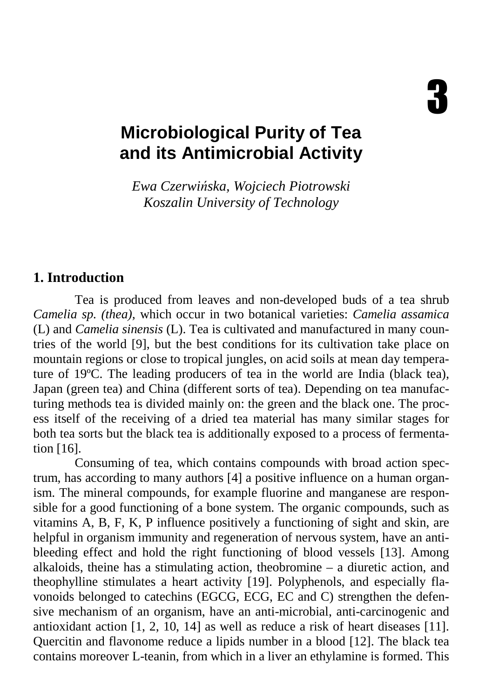# **Microbiological Purity of Tea and its Antimicrobial Activity**

*Ewa Czerwi*ń*ska, Wojciech Piotrowski Koszalin University of Technology*

#### **1. Introduction**

Tea is produced from leaves and non-developed buds of a tea shrub *Camelia sp. (thea),* which occur in two botanical varieties: *Camelia assamica*  (L) and *Camelia sinensis* (L). Tea is cultivated and manufactured in many countries of the world [9], but the best conditions for its cultivation take place on mountain regions or close to tropical jungles, on acid soils at mean day temperature of 19ºC. The leading producers of tea in the world are India (black tea), Japan (green tea) and China (different sorts of tea). Depending on tea manufacturing methods tea is divided mainly on: the green and the black one. The process itself of the receiving of a dried tea material has many similar stages for both tea sorts but the black tea is additionally exposed to a process of fermentation [16].

Consuming of tea, which contains compounds with broad action spectrum, has according to many authors [4] a positive influence on a human organism. The mineral compounds, for example fluorine and manganese are responsible for a good functioning of a bone system. The organic compounds, such as vitamins A, B, F, K, P influence positively a functioning of sight and skin, are helpful in organism immunity and regeneration of nervous system, have an antibleeding effect and hold the right functioning of blood vessels [13]. Among alkaloids, theine has a stimulating action, theobromine – a diuretic action, and theophylline stimulates a heart activity [19]. Polyphenols, and especially flavonoids belonged to catechins (EGCG, ECG, EC and C) strengthen the defensive mechanism of an organism, have an anti-microbial, anti-carcinogenic and antioxidant action [1, 2, 10, 14] as well as reduce a risk of heart diseases [11]. Quercitin and flavonome reduce a lipids number in a blood [12]. The black tea contains moreover L-teanin, from which in a liver an ethylamine is formed. This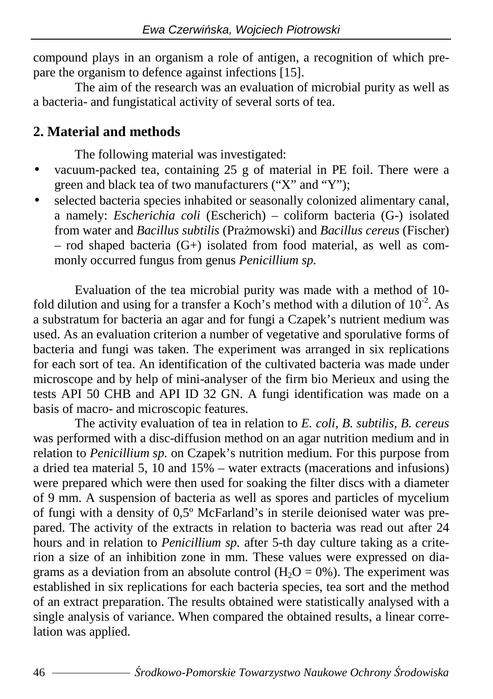compound plays in an organism a role of antigen, a recognition of which prepare the organism to defence against infections [15].

The aim of the research was an evaluation of microbial purity as well as a bacteria- and fungistatical activity of several sorts of tea.

#### **2. Material and methods**

The following material was investigated:

- vacuum-packed tea, containing 25 g of material in PE foil. There were a green and black tea of two manufacturers ("X" and "Y");
- selected bacteria species inhabited or seasonally colonized alimentary canal, a namely: *Escherichia coli* (Escherich) – coliform bacteria (G-) isolated from water and *Bacillus subtilis* (Prażmowski) and *Bacillus cereus* (Fischer) – rod shaped bacteria (G+) isolated from food material, as well as commonly occurred fungus from genus *Penicillium sp.*

Evaluation of the tea microbial purity was made with a method of 10 fold dilution and using for a transfer a Koch's method with a dilution of  $10^{-2}$ . As a substratum for bacteria an agar and for fungi a Czapek's nutrient medium was used. As an evaluation criterion a number of vegetative and sporulative forms of bacteria and fungi was taken. The experiment was arranged in six replications for each sort of tea. An identification of the cultivated bacteria was made under microscope and by help of mini-analyser of the firm bio Merieux and using the tests API 50 CHB and API ID 32 GN. A fungi identification was made on a basis of macro- and microscopic features.

The activity evaluation of tea in relation to *E. coli, B. subtilis, B. cereus*  was performed with a disc-diffusion method on an agar nutrition medium and in relation to *Penicillium sp.* on Czapek's nutrition medium. For this purpose from a dried tea material 5, 10 and 15% – water extracts (macerations and infusions) were prepared which were then used for soaking the filter discs with a diameter of 9 mm. A suspension of bacteria as well as spores and particles of mycelium of fungi with a density of 0,5º McFarland's in sterile deionised water was prepared. The activity of the extracts in relation to bacteria was read out after 24 hours and in relation to *Penicillium sp.* after 5-th day culture taking as a criterion a size of an inhibition zone in mm. These values were expressed on diagrams as a deviation from an absolute control  $(H<sub>2</sub>O = 0%)$ . The experiment was established in six replications for each bacteria species, tea sort and the method of an extract preparation. The results obtained were statistically analysed with a single analysis of variance. When compared the obtained results, a linear correlation was applied.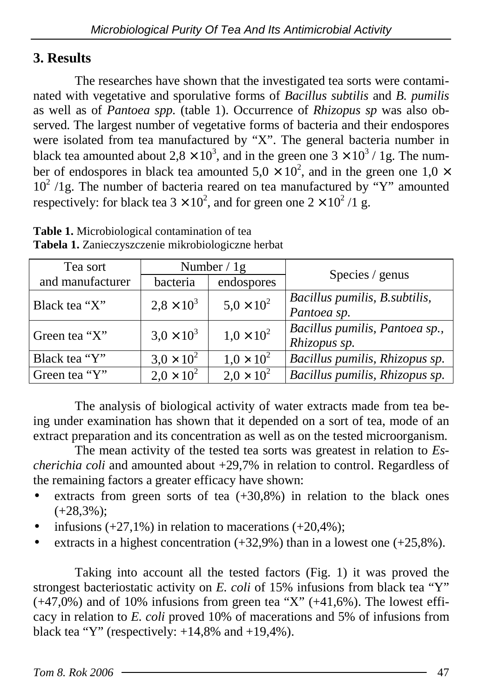#### **3. Results**

The researches have shown that the investigated tea sorts were contaminated with vegetative and sporulative forms of *Bacillus subtilis* and *B. pumilis*  as well as of *Pantoea spp.* (table 1). Occurrence of *Rhizopus sp* was also observed*.* The largest number of vegetative forms of bacteria and their endospores were isolated from tea manufactured by "X". The general bacteria number in black tea amounted about 2,8  $\times$  10<sup>3</sup>, and in the green one 3  $\times$  10<sup>3</sup> / 1g. The number of endospores in black tea amounted  $5.0 \times 10^2$ , and in the green one  $1.0 \times$  $10^2$  /1g. The number of bacteria reared on tea manufactured by "Y" amounted respectively: for black tea  $3 \times 10^2$ , and for green one  $2 \times 10^2 / 1$  g.

| Tea sort         | Number $/ 1g$       |                     | Species / genus                                |
|------------------|---------------------|---------------------|------------------------------------------------|
| and manufacturer | bacteria            | endospores          |                                                |
| Black tea "X"    | $2.8 \times 10^{3}$ | $5.0 \times 10^{2}$ | Bacillus pumilis, B. subtilis,<br>Pantoea sp.  |
| Green tea "X"    | $3.0 \times 10^{3}$ | $1,0 \times 10^{2}$ | Bacillus pumilis, Pantoea sp.,<br>Rhizopus sp. |
| Black tea "Y"    | $3.0 \times 10^{2}$ | $1.0 \times 10^{2}$ | Bacillus pumilis, Rhizopus sp.                 |
| Green tea "Y"    | $2.0 \times 10^{2}$ | $2.0 \times 10^{2}$ | Bacillus pumilis, Rhizopus sp.                 |

**Table 1.** Microbiological contamination of tea **Tabela 1.** Zanieczyszczenie mikrobiologiczne herbat

The analysis of biological activity of water extracts made from tea being under examination has shown that it depended on a sort of tea, mode of an extract preparation and its concentration as well as on the tested microorganism.

The mean activity of the tested tea sorts was greatest in relation to *Escherichia coli* and amounted about +29,7% in relation to control. Regardless of the remaining factors a greater efficacy have shown:

- extracts from green sorts of tea  $(+30.8\%)$  in relation to the black ones  $(+28,3\%)$ ;
- infusions  $(+27,1\%)$  in relation to macerations  $(+20,4\%)$ ;
- extracts in a highest concentration  $(+32,9\%)$  than in a lowest one  $(+25,8\%)$ .

Taking into account all the tested factors (Fig. 1) it was proved the strongest bacteriostatic activity on *E. coli* of 15% infusions from black tea "Y"  $(+47,0%)$  and of 10% infusions from green tea "X"  $(+41,6%)$ . The lowest efficacy in relation to *E. coli* proved 10% of macerations and 5% of infusions from black tea "Y" (respectively:  $+14,8\%$  and  $+19,4\%$ ).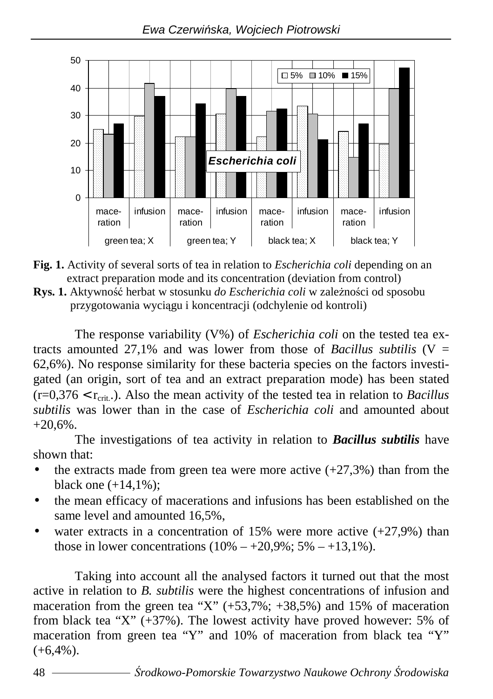



**Rys. 1.** Aktywność herbat w stosunku *do Escherichia coli* w zależności od sposobu przygotowania wyciągu i koncentracji (odchylenie od kontroli)

The response variability (V%) of *Escherichia coli* on the tested tea extracts amounted 27.1% and was lower from those of *Bacillus subtilis*  $(V =$ 62,6%). No response similarity for these bacteria species on the factors investigated (an origin, sort of tea and an extract preparation mode) has been stated  $(r=0.376 < r_{\text{crit}})$ . Also the mean activity of the tested tea in relation to *Bacillus subtilis* was lower than in the case of *Escherichia coli* and amounted about  $+20.6\%$ .

The investigations of tea activity in relation to *Bacillus subtilis* have shown that:

- the extracts made from green tea were more active  $(+27,3%)$  than from the black one  $(+14,1\%)$ ;
- the mean efficacy of macerations and infusions has been established on the same level and amounted 16,5%,
- water extracts in a concentration of 15% were more active  $(+27.9%)$  than those in lower concentrations  $(10\% - +20.9\%; 5\% - +13.1\%).$

Taking into account all the analysed factors it turned out that the most active in relation to *B. subtilis* were the highest concentrations of infusion and maceration from the green tea "X"  $(+53,7\%; +38,5\%)$  and 15% of maceration from black tea "X"  $(+37%)$ . The lowest activity have proved however: 5% of maceration from green tea "Y" and 10% of maceration from black tea "Y"  $(+6,4%).$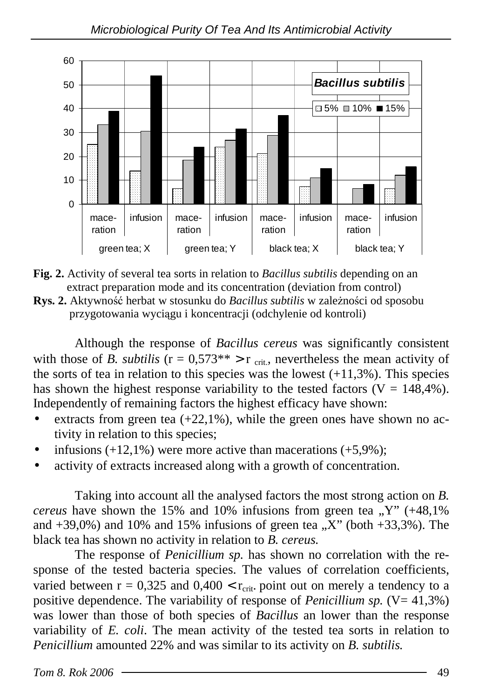



**Rys. 2.** Aktywność herbat w stosunku do *Bacillus subtilis* w zależności od sposobu przygotowania wyciągu i koncentracji (odchylenie od kontroli)

Although the response of *Bacillus cereus* was significantly consistent with those of *B. subtilis*  $(r = 0.573^{**} > r_{crit}$ , nevertheless the mean activity of the sorts of tea in relation to this species was the lowest  $(+11,3\%)$ . This species has shown the highest response variability to the tested factors ( $V = 148,4\%$ ). Independently of remaining factors the highest efficacy have shown:

- extracts from green tea  $(+22,1\%)$ , while the green ones have shown no activity in relation to this species;
- infusions  $(+12,1\%)$  were more active than macerations  $(+5,9\%)$ ;
- activity of extracts increased along with a growth of concentration.

Taking into account all the analysed factors the most strong action on *B. cereus* have shown the 15% and 10% infusions from green tea  $, Y'$  (+48,1%) and  $+39.0\%$ ) and 10% and 15% infusions of green tea  $\Delta$ . X" (both  $+33.3\%$ ). The black tea has shown no activity in relation to *B. cereus.* 

The response of *Penicillium sp.* has shown no correlation with the response of the tested bacteria species. The values of correlation coefficients, varied between  $r = 0.325$  and  $0.400 < r_{crit}$ , point out on merely a tendency to a positive dependence. The variability of response of *Penicillium sp.*  $(V= 41,3\%)$ was lower than those of both species of *Bacillus* an lower than the response variability of *E. coli*. The mean activity of the tested tea sorts in relation to *Penicillium* amounted 22% and was similar to its activity on *B. subtilis.*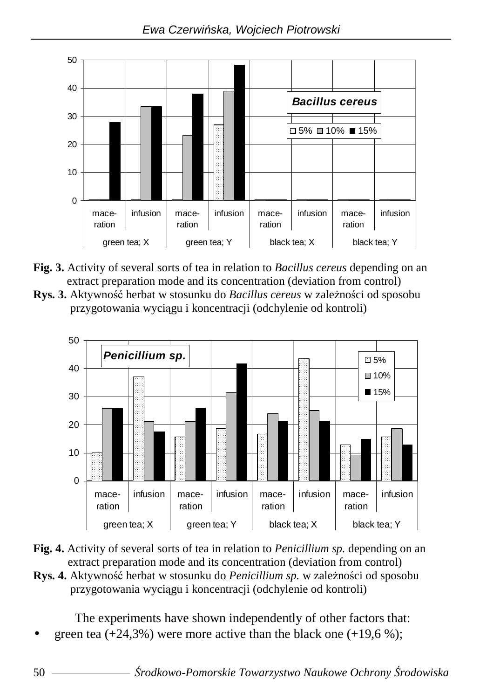

- **Fig. 3.** Activity of several sorts of tea in relation to *Bacillus cereus* depending on an extract preparation mode and its concentration (deviation from control)
- **Rys. 3.** Aktywność herbat w stosunku do *Bacillus cereus* w zależności od sposobu przygotowania wyciągu i koncentracji (odchylenie od kontroli)





**Rys. 4.** Aktywność herbat w stosunku do *Penicillium sp.* w zależności od sposobu przygotowania wyciągu i koncentracji (odchylenie od kontroli)

The experiments have shown independently of other factors that:

green tea  $(+24,3\%)$  were more active than the black one  $(+19,6\%)$ ;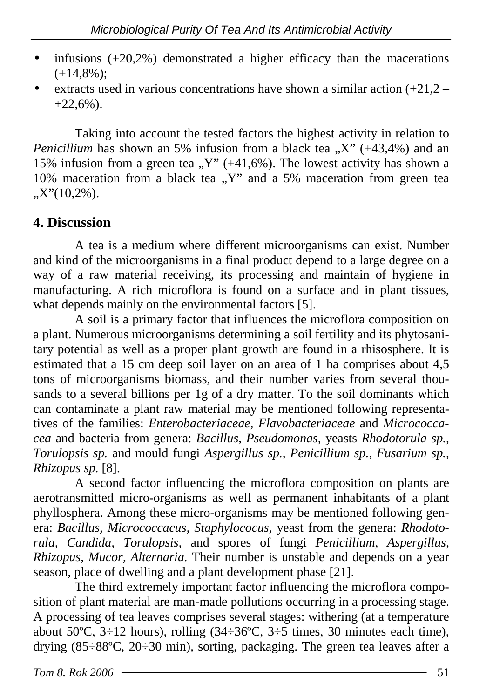- infusions  $(+20.2\%)$  demonstrated a higher efficacy than the macerations  $(+14,8\%)$ ;
- extracts used in various concentrations have shown a similar action  $(+21.2 +22.6\%$ ).

Taking into account the tested factors the highest activity in relation to *Penicillium* has shown an 5% infusion from a black tea  $X''$  (+43,4%) and an 15% infusion from a green tea  $N''$  (+41,6%). The lowest activity has shown a 10% maceration from a black tea  $, Y'$  and a 5% maceration from green tea  $X''(10,2\%)$ .

#### **4. Discussion**

A tea is a medium where different microorganisms can exist. Number and kind of the microorganisms in a final product depend to a large degree on a way of a raw material receiving, its processing and maintain of hygiene in manufacturing. A rich microflora is found on a surface and in plant tissues, what depends mainly on the environmental factors [5].

A soil is a primary factor that influences the microflora composition on a plant. Numerous microorganisms determining a soil fertility and its phytosanitary potential as well as a proper plant growth are found in a rhisosphere. It is estimated that a 15 cm deep soil layer on an area of 1 ha comprises about 4,5 tons of microorganisms biomass, and their number varies from several thousands to a several billions per 1g of a dry matter. To the soil dominants which can contaminate a plant raw material may be mentioned following representatives of the families: *Enterobacteriaceae, Flavobacteriaceae* and *Micrococcacea* and bacteria from genera: *Bacillus, Pseudomonas,* yeasts *Rhodotorula sp., Torulopsis sp.* and mould fungi *Aspergillus sp., Penicillium sp., Fusarium sp., Rhizopus sp.* [8].

A second factor influencing the microflora composition on plants are aerotransmitted micro-organisms as well as permanent inhabitants of a plant phyllosphera. Among these micro-organisms may be mentioned following genera: *Bacillus, Micrococcacus, Staphylococus,* yeast from the genera: *Rhodotorula, Candida, Torulopsis,* and spores of fungi *Penicillium, Aspergillus, Rhizopus, Mucor, Alternaria.* Their number is unstable and depends on a year season, place of dwelling and a plant development phase [21].

The third extremely important factor influencing the microflora composition of plant material are man-made pollutions occurring in a processing stage. A processing of tea leaves comprises several stages: withering (at a temperature about 50°C,  $3\div12$  hours), rolling (34 $\div36$ °C,  $3\div5$  times, 30 minutes each time), drying (85÷88ºC, 20÷30 min), sorting, packaging. The green tea leaves after a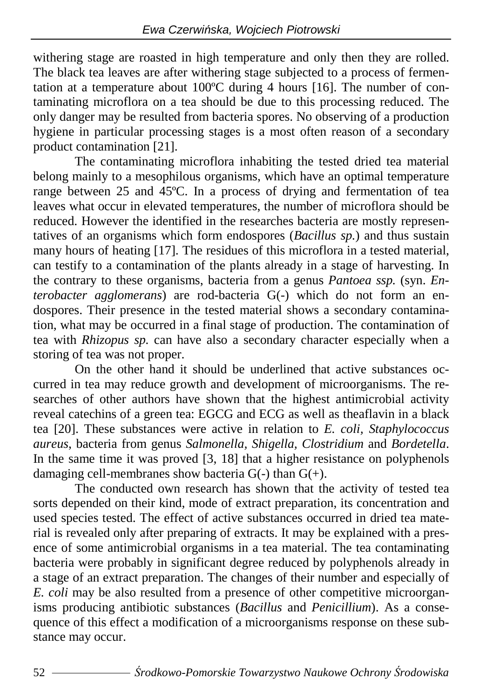withering stage are roasted in high temperature and only then they are rolled. The black tea leaves are after withering stage subjected to a process of fermentation at a temperature about 100ºC during 4 hours [16]. The number of contaminating microflora on a tea should be due to this processing reduced. The only danger may be resulted from bacteria spores. No observing of a production hygiene in particular processing stages is a most often reason of a secondary product contamination [21].

The contaminating microflora inhabiting the tested dried tea material belong mainly to a mesophilous organisms, which have an optimal temperature range between 25 and 45°C. In a process of drying and fermentation of tea leaves what occur in elevated temperatures, the number of microflora should be reduced. However the identified in the researches bacteria are mostly representatives of an organisms which form endospores (*Bacillus sp.*) and thus sustain many hours of heating [17]. The residues of this microflora in a tested material, can testify to a contamination of the plants already in a stage of harvesting. In the contrary to these organisms, bacteria from a genus *Pantoea ssp.* (syn. *Enterobacter agglomerans*) are rod-bacteria G(-) which do not form an endospores. Their presence in the tested material shows a secondary contamination, what may be occurred in a final stage of production. The contamination of tea with *Rhizopus sp.* can have also a secondary character especially when a storing of tea was not proper.

On the other hand it should be underlined that active substances occurred in tea may reduce growth and development of microorganisms. The researches of other authors have shown that the highest antimicrobial activity reveal catechins of a green tea: EGCG and ECG as well as theaflavin in a black tea [20]. These substances were active in relation to *E. coli, Staphylococcus aureus*, bacteria from genus *Salmonella, Shigella, Clostridium* and *Bordetella*. In the same time it was proved [3, 18] that a higher resistance on polyphenols damaging cell-membranes show bacteria  $G(-)$  than  $G(+)$ .

The conducted own research has shown that the activity of tested tea sorts depended on their kind, mode of extract preparation, its concentration and used species tested. The effect of active substances occurred in dried tea material is revealed only after preparing of extracts. It may be explained with a presence of some antimicrobial organisms in a tea material. The tea contaminating bacteria were probably in significant degree reduced by polyphenols already in a stage of an extract preparation. The changes of their number and especially of *E. coli* may be also resulted from a presence of other competitive microorganisms producing antibiotic substances (*Bacillus* and *Penicillium*). As a consequence of this effect a modification of a microorganisms response on these substance may occur.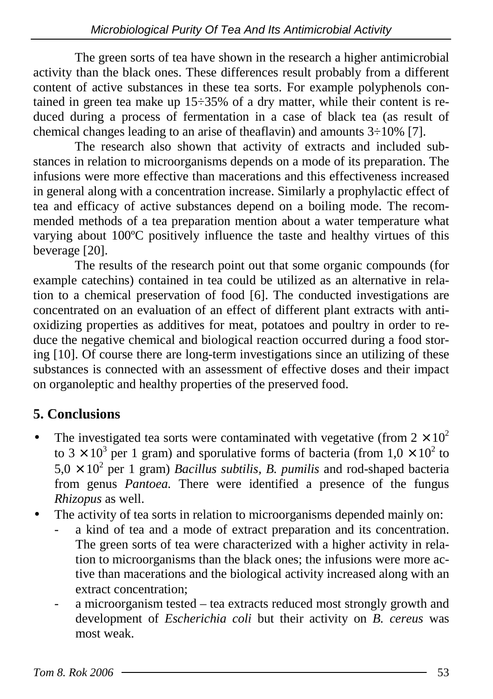The green sorts of tea have shown in the research a higher antimicrobial activity than the black ones. These differences result probably from a different content of active substances in these tea sorts. For example polyphenols contained in green tea make up 15÷35% of a dry matter, while their content is reduced during a process of fermentation in a case of black tea (as result of chemical changes leading to an arise of theaflavin) and amounts 3÷10% [7].

The research also shown that activity of extracts and included substances in relation to microorganisms depends on a mode of its preparation. The infusions were more effective than macerations and this effectiveness increased in general along with a concentration increase. Similarly a prophylactic effect of tea and efficacy of active substances depend on a boiling mode. The recommended methods of a tea preparation mention about a water temperature what varying about 100ºC positively influence the taste and healthy virtues of this beverage [20].

The results of the research point out that some organic compounds (for example catechins) contained in tea could be utilized as an alternative in relation to a chemical preservation of food [6]. The conducted investigations are concentrated on an evaluation of an effect of different plant extracts with antioxidizing properties as additives for meat, potatoes and poultry in order to reduce the negative chemical and biological reaction occurred during a food storing [10]. Of course there are long-term investigations since an utilizing of these substances is connected with an assessment of effective doses and their impact on organoleptic and healthy properties of the preserved food.

### **5. Conclusions**

- The investigated tea sorts were contaminated with vegetative (from  $2 \times 10^2$ ) to 3  $\times$  10<sup>3</sup> per 1 gram) and sporulative forms of bacteria (from 1,0  $\times$  10<sup>2</sup> to  $5.0 \times 10^2$  per 1 gram) *Bacillus subtilis, B. pumilis* and rod-shaped bacteria from genus *Pantoea.* There were identified a presence of the fungus *Rhizopus* as well.
- The activity of tea sorts in relation to microorganisms depended mainly on:
	- a kind of tea and a mode of extract preparation and its concentration. The green sorts of tea were characterized with a higher activity in relation to microorganisms than the black ones; the infusions were more active than macerations and the biological activity increased along with an extract concentration;
	- a microorganism tested tea extracts reduced most strongly growth and development of *Escherichia coli* but their activity on *B. cereus* was most weak.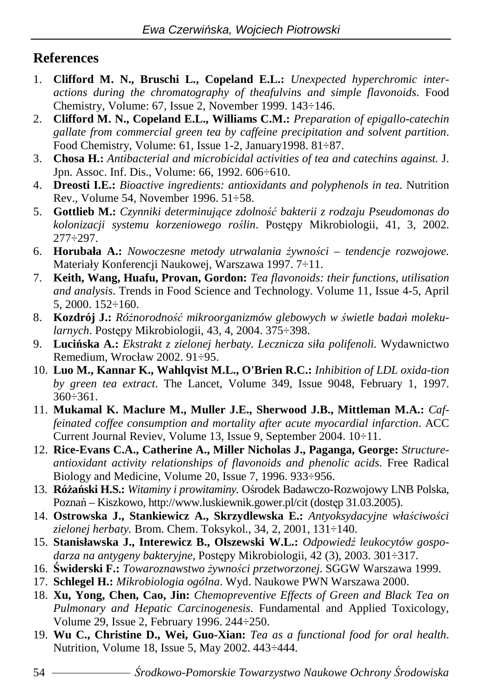#### **References**

- 1. **Clifford M. N., Bruschi L., Copeland E.L.:** *Unexpected hyperchromic interactions during the chromatography of theafulvins and simple flavonoids*. Food Chemistry, Volume: 67, Issue 2, November 1999. 143÷146.
- 2. **Clifford M. N., Copeland E.L., Williams C.M.:** *Preparation of epigallo-catechin gallate from commercial green tea by caffeine precipitation and solvent partition*. Food Chemistry, Volume: 61, Issue 1-2, January1998. 81÷87.
- 3. **Chosa H.:** *Antibacterial and microbicidal activities of tea and catechins against.* J. Jpn. Assoc. Inf. Dis., Volume: 66, 1992. 606÷610.
- 4. **Dreosti I.E.:** *Bioactive ingredients: antioxidants and polyphenols in tea*. Nutrition Rev., Volume 54, November 1996. 51÷58.
- 5. **Gottlieb M.:** *Czynniki determinuj*ą*ce zdolno*ść *bakterii z rodzaju Pseudomonas do kolonizacji systemu korzeniowego ro*ś*lin*. Postępy Mikrobiologii, 41, 3, 2002. 277÷297.
- 6. **Horubała A.:** *Nowoczesne metody utrwalania żywności tendencje rozwojowe.* Materiały Konferencji Naukowej, Warszawa 1997. 7÷11.
- 7. **Keith, Wang, Huafu, Provan, Gordon:** *Tea flavonoids: their functions, utilisation and analysis*. Trends in Food Science and Technology. Volume 11, Issue 4-5, April 5, 2000. 152÷160.
- 8. Kozdrój J.: Różnorodność mikroorganizmów glebowych w świetle badań moleku*larnych*. Postępy Mikrobiologii, 43, 4, 2004. 375÷398.
- 9. **Luci**ń**ska A.:** *Ekstrakt z zielonej herbaty. Lecznicza siła polifenoli.* Wydawnictwo Remedium, Wrocław 2002. 91÷95.
- 10. **Luo M., Kannar K., Wahlqvist M.L., O'Brien R.C.:** *Inhibition of LDL oxida-tion by green tea extract*. The Lancet, Volume 349, Issue 9048, February 1, 1997. 360÷361.
- 11. **Mukamal K. Maclure M., Muller J.E., Sherwood J.B., Mittleman M.A.:** *Caffeinated coffee consumption and mortality after acute myocardial infarction*. ACC Current Journal Reviev, Volume 13, Issue 9, September 2004. 10÷11.
- 12. **Rice-Evans C.A., Catherine A., Miller Nicholas J., Paganga, George:** *Structureantioxidant activity relationships of flavonoids and phenolic acids*. Free Radical Biology and Medicine, Volume 20, Issue 7, 1996. 933÷956.
- 13. **Ró**Ŝ**a**ń**ski H.S.:** *Witaminy i prowitaminy.* Ośrodek Badawczo-Rozwojowy LNB Polska, Poznań – Kiszkowo, http://www.luskiewnik.gower.pl/cit (dostęp 31.03.2005).
- 14. **Ostrowska J., Stankiewicz A., Skrzydlewska E.:** *Antyoksydacyjne wła*ś*ciwo*ś*ci zielonej herbaty.* Brom. Chem. Toksykol., 34, 2, 2001, 131÷140.
- 15. **Stanisławska J., Interewicz B., Olszewski W.L.:** *Odpowied*ź *leukocytów gospodarza na antygeny bakteryjne*, Postępy Mikrobiologii, 42 (3), 2003. 301÷317.
- 16. Świderski F.: *Towaroznawstwo żywności przetworzonej*. SGGW Warszawa 1999.
- 17. **Schlegel H.:** *Mikrobiologia ogólna*. Wyd. Naukowe PWN Warszawa 2000.
- 18. **Xu, Yong, Chen, Cao, Jin:** *Chemopreventive Effects of Green and Black Tea on Pulmonary and Hepatic Carcinogenesis*. Fundamental and Applied Toxicology, Volume 29, Issue 2, February 1996. 244÷250.
- 19. **Wu C., Christine D., Wei, Guo-Xian:** *Tea as a functional food for oral health*. Nutrition, Volume 18, Issue 5, May 2002. 443÷444.

54 Ś*rodkowo-Pomorskie Towarzystwo Naukowe Ochrony* Ś*rodowiska*